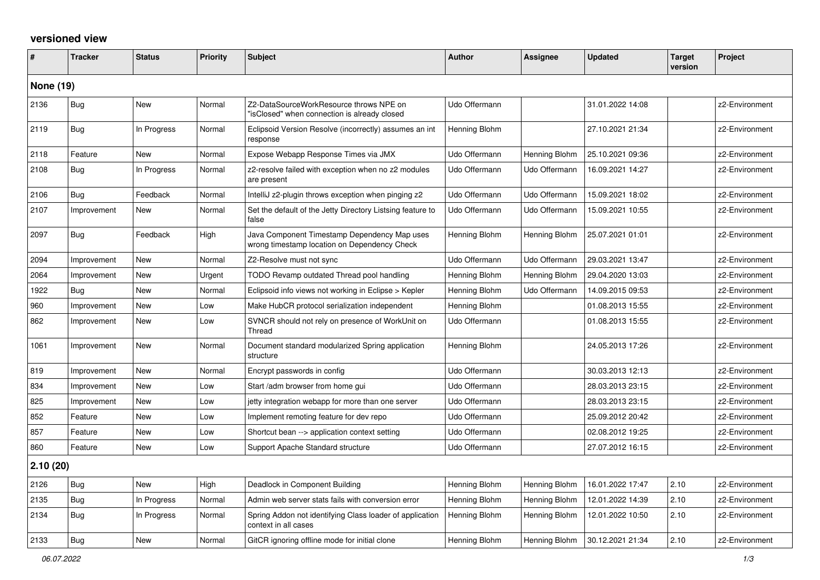## **versioned view**

| $\vert$ #        | <b>Tracker</b> | <b>Status</b> | <b>Priority</b> | <b>Subject</b>                                                                               | <b>Author</b> | <b>Assignee</b> | <b>Updated</b>   | <b>Target</b><br>version | Project        |
|------------------|----------------|---------------|-----------------|----------------------------------------------------------------------------------------------|---------------|-----------------|------------------|--------------------------|----------------|
| <b>None (19)</b> |                |               |                 |                                                                                              |               |                 |                  |                          |                |
| 2136             | Bug            | <b>New</b>    | Normal          | Z2-DataSourceWorkResource throws NPE on<br>'isClosed" when connection is already closed      | Udo Offermann |                 | 31.01.2022 14:08 |                          | z2-Environment |
| 2119             | Bug            | In Progress   | Normal          | Eclipsoid Version Resolve (incorrectly) assumes an int<br>response                           | Henning Blohm |                 | 27.10.2021 21:34 |                          | z2-Environment |
| 2118             | Feature        | New           | Normal          | Expose Webapp Response Times via JMX                                                         | Udo Offermann | Henning Blohm   | 25.10.2021 09:36 |                          | z2-Environment |
| 2108             | <b>Bug</b>     | In Progress   | Normal          | z2-resolve failed with exception when no z2 modules<br>are present                           | Udo Offermann | Udo Offermann   | 16.09.2021 14:27 |                          | z2-Environment |
| 2106             | Bug            | Feedback      | Normal          | IntelliJ z2-plugin throws exception when pinging z2                                          | Udo Offermann | Udo Offermann   | 15.09.2021 18:02 |                          | z2-Environment |
| 2107             | Improvement    | <b>New</b>    | Normal          | Set the default of the Jetty Directory Listsing feature to<br>false                          | Udo Offermann | Udo Offermann   | 15.09.2021 10:55 |                          | z2-Environment |
| 2097             | Bug            | Feedback      | High            | Java Component Timestamp Dependency Map uses<br>wrong timestamp location on Dependency Check | Henning Blohm | Henning Blohm   | 25.07.2021 01:01 |                          | z2-Environment |
| 2094             | Improvement    | <b>New</b>    | Normal          | Z2-Resolve must not sync                                                                     | Udo Offermann | Udo Offermann   | 29.03.2021 13:47 |                          | z2-Environment |
| 2064             | Improvement    | <b>New</b>    | Urgent          | TODO Revamp outdated Thread pool handling                                                    | Henning Blohm | Henning Blohm   | 29.04.2020 13:03 |                          | z2-Environment |
| 1922             | Bug            | New           | Normal          | Eclipsoid info views not working in Eclipse > Kepler                                         | Henning Blohm | Udo Offermann   | 14.09.2015 09:53 |                          | z2-Environment |
| 960              | Improvement    | <b>New</b>    | Low             | Make HubCR protocol serialization independent                                                | Henning Blohm |                 | 01.08.2013 15:55 |                          | z2-Environment |
| 862              | Improvement    | <b>New</b>    | Low             | SVNCR should not rely on presence of WorkUnit on<br>Thread                                   | Udo Offermann |                 | 01.08.2013 15:55 |                          | z2-Environment |
| 1061             | Improvement    | <b>New</b>    | Normal          | Document standard modularized Spring application<br>structure                                | Henning Blohm |                 | 24.05.2013 17:26 |                          | z2-Environment |
| 819              | Improvement    | <b>New</b>    | Normal          | Encrypt passwords in config                                                                  | Udo Offermann |                 | 30.03.2013 12:13 |                          | z2-Environment |
| 834              | Improvement    | <b>New</b>    | Low             | Start/adm browser from home gui                                                              | Udo Offermann |                 | 28.03.2013 23:15 |                          | z2-Environment |
| 825              | Improvement    | New           | Low             | jetty integration webapp for more than one server                                            | Udo Offermann |                 | 28.03.2013 23:15 |                          | z2-Environment |
| 852              | Feature        | New           | Low             | Implement remoting feature for dev repo                                                      | Udo Offermann |                 | 25.09.2012 20:42 |                          | z2-Environment |
| 857              | Feature        | <b>New</b>    | Low             | Shortcut bean --> application context setting                                                | Udo Offermann |                 | 02.08.2012 19:25 |                          | z2-Environment |
| 860              | Feature        | New           | Low             | Support Apache Standard structure                                                            | Udo Offermann |                 | 27.07.2012 16:15 |                          | z2-Environment |
| 2.10(20)         |                |               |                 |                                                                                              |               |                 |                  |                          |                |
| 2126             | Bug            | New           | High            | Deadlock in Component Building                                                               | Henning Blohm | Henning Blohm   | 16.01.2022 17:47 | 2.10                     | z2-Environment |
| 2135             | Bug            | In Progress   | Normal          | Admin web server stats fails with conversion error                                           | Henning Blohm | Henning Blohm   | 12.01.2022 14:39 | 2.10                     | z2-Environment |
| 2134             | Bug            | In Progress   | Normal          | Spring Addon not identifying Class loader of application<br>context in all cases             | Henning Blohm | Henning Blohm   | 12.01.2022 10:50 | 2.10                     | z2-Environment |
| 2133             | Bug            | <b>New</b>    | Normal          | GitCR ignoring offline mode for initial clone                                                | Henning Blohm | Henning Blohm   | 30.12.2021 21:34 | 2.10                     | z2-Environment |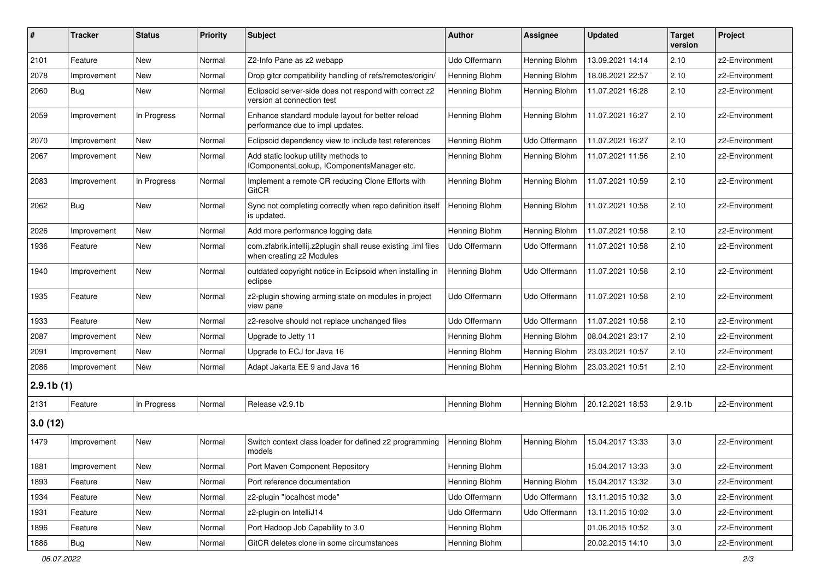| #         | <b>Tracker</b> | <b>Status</b> | <b>Priority</b> | Subject                                                                                   | Author        | <b>Assignee</b> | <b>Updated</b>   | <b>Target</b><br>version | Project        |
|-----------|----------------|---------------|-----------------|-------------------------------------------------------------------------------------------|---------------|-----------------|------------------|--------------------------|----------------|
| 2101      | Feature        | New           | Normal          | Z2-Info Pane as z2 webapp                                                                 | Udo Offermann | Henning Blohm   | 13.09.2021 14:14 | 2.10                     | z2-Environment |
| 2078      | Improvement    | New           | Normal          | Drop gitcr compatibility handling of refs/remotes/origin/                                 | Henning Blohm | Henning Blohm   | 18.08.2021 22:57 | 2.10                     | z2-Environment |
| 2060      | Bug            | New           | Normal          | Eclipsoid server-side does not respond with correct z2<br>version at connection test      | Henning Blohm | Henning Blohm   | 11.07.2021 16:28 | 2.10                     | z2-Environment |
| 2059      | Improvement    | In Progress   | Normal          | Enhance standard module layout for better reload<br>performance due to impl updates.      | Henning Blohm | Henning Blohm   | 11.07.2021 16:27 | 2.10                     | z2-Environment |
| 2070      | Improvement    | New           | Normal          | Eclipsoid dependency view to include test references                                      | Henning Blohm | Udo Offermann   | 11.07.2021 16:27 | 2.10                     | z2-Environment |
| 2067      | Improvement    | New           | Normal          | Add static lookup utility methods to<br>IComponentsLookup, IComponentsManager etc.        | Henning Blohm | Henning Blohm   | 11.07.2021 11:56 | 2.10                     | z2-Environment |
| 2083      | Improvement    | In Progress   | Normal          | Implement a remote CR reducing Clone Efforts with<br><b>GitCR</b>                         | Henning Blohm | Henning Blohm   | 11.07.2021 10:59 | 2.10                     | z2-Environment |
| 2062      | Bug            | New           | Normal          | Sync not completing correctly when repo definition itself<br>is updated.                  | Henning Blohm | Henning Blohm   | 11.07.2021 10:58 | 2.10                     | z2-Environment |
| 2026      | Improvement    | New           | Normal          | Add more performance logging data                                                         | Henning Blohm | Henning Blohm   | 11.07.2021 10:58 | 2.10                     | z2-Environment |
| 1936      | Feature        | New           | Normal          | com.zfabrik.intellij.z2plugin shall reuse existing .iml files<br>when creating z2 Modules | Udo Offermann | Udo Offermann   | 11.07.2021 10:58 | 2.10                     | z2-Environment |
| 1940      | Improvement    | New           | Normal          | outdated copyright notice in Eclipsoid when installing in<br>eclipse                      | Henning Blohm | Udo Offermann   | 11.07.2021 10:58 | 2.10                     | z2-Environment |
| 1935      | Feature        | New           | Normal          | z2-plugin showing arming state on modules in project<br>view pane                         | Udo Offermann | Udo Offermann   | 11.07.2021 10:58 | 2.10                     | z2-Environment |
| 1933      | Feature        | New           | Normal          | z2-resolve should not replace unchanged files                                             | Udo Offermann | Udo Offermann   | 11.07.2021 10:58 | 2.10                     | z2-Environment |
| 2087      | Improvement    | New           | Normal          | Upgrade to Jetty 11                                                                       | Henning Blohm | Henning Blohm   | 08.04.2021 23:17 | 2.10                     | z2-Environment |
| 2091      | Improvement    | New           | Normal          | Upgrade to ECJ for Java 16                                                                | Henning Blohm | Henning Blohm   | 23.03.2021 10:57 | 2.10                     | z2-Environment |
| 2086      | Improvement    | New           | Normal          | Adapt Jakarta EE 9 and Java 16                                                            | Henning Blohm | Henning Blohm   | 23.03.2021 10:51 | 2.10                     | z2-Environment |
| 2.9.1b(1) |                |               |                 |                                                                                           |               |                 |                  |                          |                |
| 2131      | Feature        | In Progress   | Normal          | Release v2.9.1b                                                                           | Henning Blohm | Henning Blohm   | 20.12.2021 18:53 | 2.9.1 <sub>b</sub>       | z2-Environment |
| 3.0(12)   |                |               |                 |                                                                                           |               |                 |                  |                          |                |
| 1479      | Improvement    | New           | Normal          | Switch context class loader for defined z2 programming<br>models                          | Henning Blohm | Henning Blohm   | 15.04.2017 13:33 | 3.0                      | z2-Environment |
| 1881      | Improvement    | New           | Normal          | Port Maven Component Repository                                                           | Henning Blohm |                 | 15.04.2017 13:33 | 3.0                      | z2-Environment |
| 1893      | Feature        | New           | Normal          | Port reference documentation                                                              | Henning Blohm | Henning Blohm   | 15.04.2017 13:32 | 3.0                      | z2-Environment |
| 1934      | Feature        | New           | Normal          | z2-plugin "localhost mode"                                                                | Udo Offermann | Udo Offermann   | 13.11.2015 10:32 | 3.0                      | z2-Environment |
| 1931      | Feature        | New           | Normal          | z2-plugin on IntelliJ14                                                                   | Udo Offermann | Udo Offermann   | 13.11.2015 10:02 | 3.0                      | z2-Environment |
| 1896      | Feature        | New           | Normal          | Port Hadoop Job Capability to 3.0                                                         | Henning Blohm |                 | 01.06.2015 10:52 | 3.0                      | z2-Environment |
| 1886      | <b>Bug</b>     | New           | Normal          | GitCR deletes clone in some circumstances                                                 | Henning Blohm |                 | 20.02.2015 14:10 | $3.0\,$                  | z2-Environment |